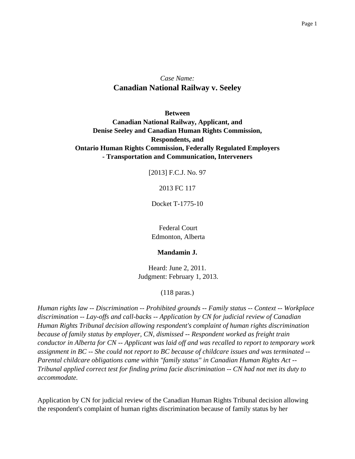## *Case Name:* **Canadian National Railway v. Seeley**

**Between Canadian National Railway, Applicant, and Denise Seeley and Canadian Human Rights Commission, Respondents, and Ontario Human Rights Commission, Federally Regulated Employers - Transportation and Communication, Interveners**

[2013] F.C.J. No. 97

#### 2013 FC 117

Docket T-1775-10

Federal Court Edmonton, Alberta

#### **Mandamin J.**

Heard: June 2, 2011. Judgment: February 1, 2013.

(118 paras.)

*Human rights law -- Discrimination -- Prohibited grounds -- Family status -- Context -- Workplace discrimination -- Lay-offs and call-backs -- Application by CN for judicial review of Canadian Human Rights Tribunal decision allowing respondent's complaint of human rights discrimination because of family status by employer, CN, dismissed -- Respondent worked as freight train conductor in Alberta for CN -- Applicant was laid off and was recalled to report to temporary work assignment in BC -- She could not report to BC because of childcare issues and was terminated -- Parental childcare obligations came within "family status" in Canadian Human Rights Act -- Tribunal applied correct test for finding prima facie discrimination -- CN had not met its duty to accommodate.*

Application by CN for judicial review of the Canadian Human Rights Tribunal decision allowing the respondent's complaint of human rights discrimination because of family status by her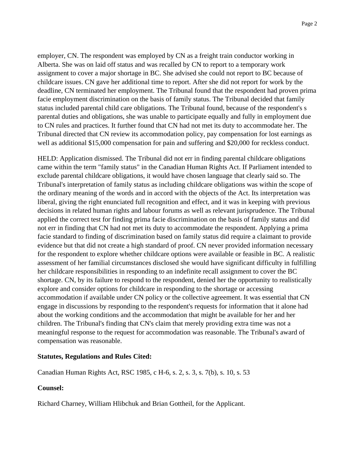employer, CN. The respondent was employed by CN as a freight train conductor working in Alberta. She was on laid off status and was recalled by CN to report to a temporary work assignment to cover a major shortage in BC. She advised she could not report to BC because of childcare issues. CN gave her additional time to report. After she did not report for work by the deadline, CN terminated her employment. The Tribunal found that the respondent had proven prima facie employment discrimination on the basis of family status. The Tribunal decided that family status included parental child care obligations. The Tribunal found, because of the respondent's s parental duties and obligations, she was unable to participate equally and fully in employment due to CN rules and practices. It further found that CN had not met its duty to accommodate her. The Tribunal directed that CN review its accommodation policy, pay compensation for lost earnings as well as additional \$15,000 compensation for pain and suffering and \$20,000 for reckless conduct.

HELD: Application dismissed. The Tribunal did not err in finding parental childcare obligations came within the term "family status" in the Canadian Human Rights Act. If Parliament intended to exclude parental childcare obligations, it would have chosen language that clearly said so. The Tribunal's interpretation of family status as including childcare obligations was within the scope of the ordinary meaning of the words and in accord with the objects of the Act. Its interpretation was liberal, giving the right enunciated full recognition and effect, and it was in keeping with previous decisions in related human rights and labour forums as well as relevant jurisprudence. The Tribunal applied the correct test for finding prima facie discrimination on the basis of family status and did not err in finding that CN had not met its duty to accommodate the respondent. Applying a prima facie standard to finding of discrimination based on family status did require a claimant to provide evidence but that did not create a high standard of proof. CN never provided information necessary for the respondent to explore whether childcare options were available or feasible in BC. A realistic assessment of her familial circumstances disclosed she would have significant difficulty in fulfilling her childcare responsibilities in responding to an indefinite recall assignment to cover the BC shortage. CN, by its failure to respond to the respondent, denied her the opportunity to realistically explore and consider options for childcare in responding to the shortage or accessing accommodation if available under CN policy or the collective agreement. It was essential that CN engage in discussions by responding to the respondent's requests for information that it alone had about the working conditions and the accommodation that might be available for her and her children. The Tribunal's finding that CN's claim that merely providing extra time was not a meaningful response to the request for accommodation was reasonable. The Tribunal's award of compensation was reasonable.

#### **Statutes, Regulations and Rules Cited:**

Canadian Human Rights Act, RSC 1985, c H-6, s. 2, s. 3, s. 7(b), s. 10, s. 53

#### **Counsel:**

Richard Charney, William Hlibchuk and Brian Gottheil, for the Applicant.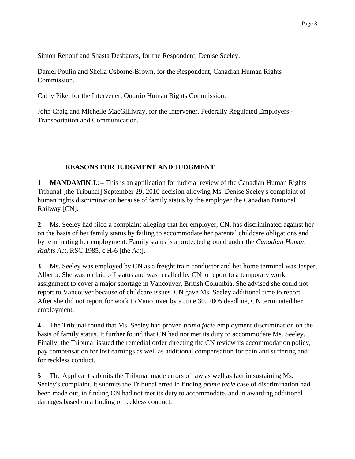Simon Renouf and Shasta Desbarats, for the Respondent, Denise Seeley.

Daniel Poulin and Sheila Osborne-Brown, for the Respondent, Canadian Human Rights Commission.

Cathy Pike, for the Intervener, Ontario Human Rights Commission.

John Craig and Michelle MacGillivray, for the Intervener, Federally Regulated Employers - Transportation and Communication.

### **REASONS FOR JUDGMENT AND JUDGMENT**

**1 MANDAMIN J.:**-- This is an application for judicial review of the Canadian Human Rights Tribunal [the Tribunal] September 29, 2010 decision allowing Ms. Denise Seeley's complaint of human rights discrimination because of family status by the employer the Canadian National Railway [CN].

**2** Ms. Seeley had filed a complaint alleging that her employer, CN, has discriminated against her on the basis of her family status by failing to accommodate her parental childcare obligations and by terminating her employment. Family status is a protected ground under the *Canadian Human Rights Act*, RSC 1985, c H-6 [the *Act*].

**3** Ms. Seeley was employed by CN as a freight train conductor and her home terminal was Jasper, Alberta. She was on laid off status and was recalled by CN to report to a temporary work assignment to cover a major shortage in Vancouver, British Columbia. She advised she could not report to Vancouver because of childcare issues. CN gave Ms. Seeley additional time to report. After she did not report for work to Vancouver by a June 30, 2005 deadline, CN terminated her employment.

**4** The Tribunal found that Ms. Seeley had proven *prima facie* employment discrimination on the basis of family status. It further found that CN had not met its duty to accommodate Ms. Seeley. Finally, the Tribunal issued the remedial order directing the CN review its accommodation policy, pay compensation for lost earnings as well as additional compensation for pain and suffering and for reckless conduct.

**5** The Applicant submits the Tribunal made errors of law as well as fact in sustaining Ms. Seeley's complaint. It submits the Tribunal erred in finding *prima facie* case of discrimination had been made out, in finding CN had not met its duty to accommodate, and in awarding additional damages based on a finding of reckless conduct.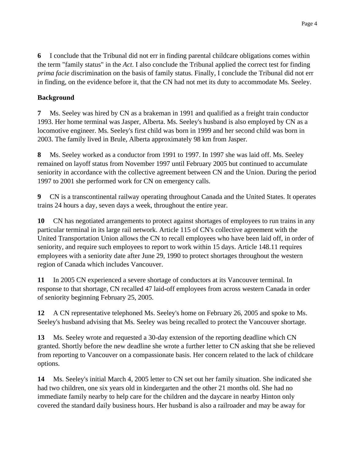**6** I conclude that the Tribunal did not err in finding parental childcare obligations comes within the term "family status" in the *Act*. I also conclude the Tribunal applied the correct test for finding *prima facie* discrimination on the basis of family status. Finally, I conclude the Tribunal did not err in finding, on the evidence before it, that the CN had not met its duty to accommodate Ms. Seeley.

## **Background**

**7** Ms. Seeley was hired by CN as a brakeman in 1991 and qualified as a freight train conductor 1993. Her home terminal was Jasper, Alberta. Ms. Seeley's husband is also employed by CN as a locomotive engineer. Ms. Seeley's first child was born in 1999 and her second child was born in 2003. The family lived in Brule, Alberta approximately 98 km from Jasper.

**8** Ms. Seeley worked as a conductor from 1991 to 1997. In 1997 she was laid off. Ms. Seeley remained on layoff status from November 1997 until February 2005 but continued to accumulate seniority in accordance with the collective agreement between CN and the Union. During the period 1997 to 2001 she performed work for CN on emergency calls.

**9** CN is a transcontinental railway operating throughout Canada and the United States. It operates trains 24 hours a day, seven days a week, throughout the entire year.

**10** CN has negotiated arrangements to protect against shortages of employees to run trains in any particular terminal in its large rail network. Article 115 of CN's collective agreement with the United Transportation Union allows the CN to recall employees who have been laid off, in order of seniority, and require such employees to report to work within 15 days. Article 148.11 requires employees with a seniority date after June 29, 1990 to protect shortages throughout the western region of Canada which includes Vancouver.

**11** In 2005 CN experienced a severe shortage of conductors at its Vancouver terminal. In response to that shortage, CN recalled 47 laid-off employees from across western Canada in order of seniority beginning February 25, 2005.

**12** A CN representative telephoned Ms. Seeley's home on February 26, 2005 and spoke to Ms. Seeley's husband advising that Ms. Seeley was being recalled to protect the Vancouver shortage.

**13** Ms. Seeley wrote and requested a 30-day extension of the reporting deadline which CN granted. Shortly before the new deadline she wrote a further letter to CN asking that she be relieved from reporting to Vancouver on a compassionate basis. Her concern related to the lack of childcare options.

**14** Ms. Seeley's initial March 4, 2005 letter to CN set out her family situation. She indicated she had two children, one six years old in kindergarten and the other 21 months old. She had no immediate family nearby to help care for the children and the daycare in nearby Hinton only covered the standard daily business hours. Her husband is also a railroader and may be away for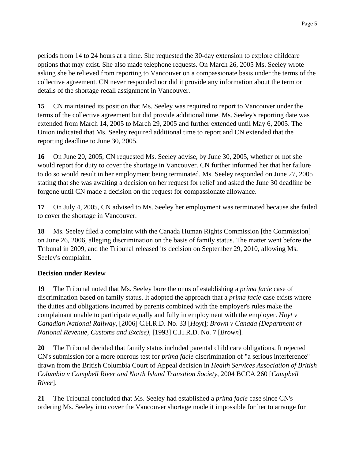periods from 14 to 24 hours at a time. She requested the 30-day extension to explore childcare options that may exist. She also made telephone requests. On March 26, 2005 Ms. Seeley wrote asking she be relieved from reporting to Vancouver on a compassionate basis under the terms of the collective agreement. CN never responded nor did it provide any information about the term or details of the shortage recall assignment in Vancouver.

**15** CN maintained its position that Ms. Seeley was required to report to Vancouver under the terms of the collective agreement but did provide additional time. Ms. Seeley's reporting date was extended from March 14, 2005 to March 29, 2005 and further extended until May 6, 2005. The Union indicated that Ms. Seeley required additional time to report and CN extended that the reporting deadline to June 30, 2005.

**16** On June 20, 2005, CN requested Ms. Seeley advise, by June 30, 2005, whether or not she would report for duty to cover the shortage in Vancouver. CN further informed her that her failure to do so would result in her employment being terminated. Ms. Seeley responded on June 27, 2005 stating that she was awaiting a decision on her request for relief and asked the June 30 deadline be forgone until CN made a decision on the request for compassionate allowance.

**17** On July 4, 2005, CN advised to Ms. Seeley her employment was terminated because she failed to cover the shortage in Vancouver.

**18** Ms. Seeley filed a complaint with the Canada Human Rights Commission [the Commission] on June 26, 2006, alleging discrimination on the basis of family status. The matter went before the Tribunal in 2009, and the Tribunal released its decision on September 29, 2010, allowing Ms. Seeley's complaint.

### **Decision under Review**

**19** The Tribunal noted that Ms. Seeley bore the onus of establishing a *prima facie* case of discrimination based on family status. It adopted the approach that a *prima facie* case exists where the duties and obligations incurred by parents combined with the employer's rules make the complainant unable to participate equally and fully in employment with the employer. *Hoyt v Canadian National Railway*, [2006] C.H.R.D. No. 33 [*Hoyt*]; *Brown v Canada (Department of National Revenue, Customs and Excise)*, [1993] C.H.R.D. No. 7 [*Brown*].

**20** The Tribunal decided that family status included parental child care obligations. It rejected CN's submission for a more onerous test for *prima facie* discrimination of "a serious interference" drawn from the British Columbia Court of Appeal decision in *Health Services Association of British Columbia v Campbell River and North Island Transition Society*, 2004 BCCA 260 [*Campbell River*].

**21** The Tribunal concluded that Ms. Seeley had established a *prima facie* case since CN's ordering Ms. Seeley into cover the Vancouver shortage made it impossible for her to arrange for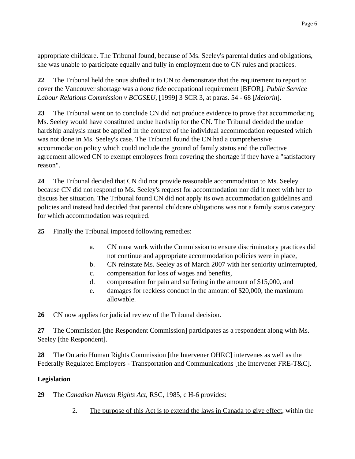appropriate childcare. The Tribunal found, because of Ms. Seeley's parental duties and obligations, she was unable to participate equally and fully in employment due to CN rules and practices.

**22** The Tribunal held the onus shifted it to CN to demonstrate that the requirement to report to cover the Vancouver shortage was a *bona fide* occupational requirement [BFOR]. *Public Service Labour Relations Commission v BCGSEU*, [1999] 3 SCR 3, at paras. 54 - 68 [*Meiorin*].

**23** The Tribunal went on to conclude CN did not produce evidence to prove that accommodating Ms. Seeley would have constituted undue hardship for the CN. The Tribunal decided the undue hardship analysis must be applied in the context of the individual accommodation requested which was not done in Ms. Seeley's case. The Tribunal found the CN had a comprehensive accommodation policy which could include the ground of family status and the collective agreement allowed CN to exempt employees from covering the shortage if they have a "satisfactory reason".

**24** The Tribunal decided that CN did not provide reasonable accommodation to Ms. Seeley because CN did not respond to Ms. Seeley's request for accommodation nor did it meet with her to discuss her situation. The Tribunal found CN did not apply its own accommodation guidelines and policies and instead had decided that parental childcare obligations was not a family status category for which accommodation was required.

**25** Finally the Tribunal imposed following remedies:

- a. CN must work with the Commission to ensure discriminatory practices did not continue and appropriate accommodation policies were in place,
- b. CN reinstate Ms. Seeley as of March 2007 with her seniority uninterrupted,
- c. compensation for loss of wages and benefits,
- d. compensation for pain and suffering in the amount of \$15,000, and
- e. damages for reckless conduct in the amount of \$20,000, the maximum allowable.

**26** CN now applies for judicial review of the Tribunal decision.

**27** The Commission [the Respondent Commission] participates as a respondent along with Ms. Seeley [the Respondent].

**28** The Ontario Human Rights Commission [the Intervener OHRC] intervenes as well as the Federally Regulated Employers - Transportation and Communications [the Intervener FRE-T&C].

## **Legislation**

**29** The *Canadian Human Rights Act*, RSC, 1985, c H-6 provides:

2. The purpose of this Act is to extend the laws in Canada to give effect, within the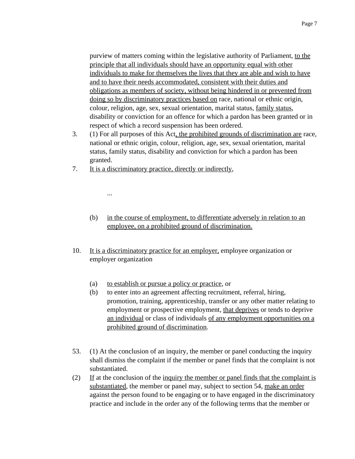purview of matters coming within the legislative authority of Parliament, to the principle that all individuals should have an opportunity equal with other individuals to make for themselves the lives that they are able and wish to have and to have their needs accommodated, consistent with their duties and obligations as members of society, without being hindered in or prevented from doing so by discriminatory practices based on race, national or ethnic origin, colour, religion, age, sex, sexual orientation, marital status, family status, disability or conviction for an offence for which a pardon has been granted or in respect of which a record suspension has been ordered.

- 3. (1) For all purposes of this Act, the prohibited grounds of discrimination are race, national or ethnic origin, colour, religion, age, sex, sexual orientation, marital status, family status, disability and conviction for which a pardon has been granted.
- 7. It is a discriminatory practice, directly or indirectly,

...

- (b) in the course of employment, to differentiate adversely in relation to an employee, on a prohibited ground of discrimination.
- 10. It is a discriminatory practice for an employer, employee organization or employer organization
	- (a) to establish or pursue a policy or practice, or
	- (b) to enter into an agreement affecting recruitment, referral, hiring, promotion, training, apprenticeship, transfer or any other matter relating to employment or prospective employment, that deprives or tends to deprive an individual or class of individuals of any employment opportunities on a prohibited ground of discrimination.
- 53. (1) At the conclusion of an inquiry, the member or panel conducting the inquiry shall dismiss the complaint if the member or panel finds that the complaint is not substantiated.
- (2) If at the conclusion of the inquiry the member or panel finds that the complaint is substantiated, the member or panel may, subject to section 54, make an order against the person found to be engaging or to have engaged in the discriminatory practice and include in the order any of the following terms that the member or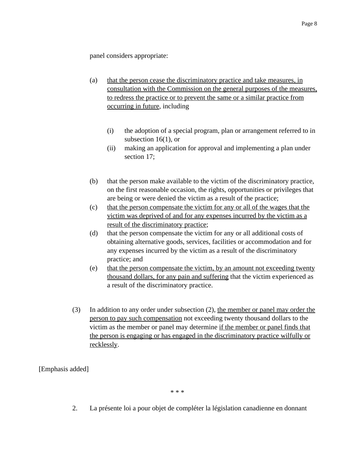panel considers appropriate:

- (a) that the person cease the discriminatory practice and take measures, in consultation with the Commission on the general purposes of the measures, to redress the practice or to prevent the same or a similar practice from occurring in future, including
	- (i) the adoption of a special program, plan or arrangement referred to in subsection  $16(1)$ , or
	- (ii) making an application for approval and implementing a plan under section 17;
- (b) that the person make available to the victim of the discriminatory practice, on the first reasonable occasion, the rights, opportunities or privileges that are being or were denied the victim as a result of the practice;
- (c) that the person compensate the victim for any or all of the wages that the victim was deprived of and for any expenses incurred by the victim as a result of the discriminatory practice;
- (d) that the person compensate the victim for any or all additional costs of obtaining alternative goods, services, facilities or accommodation and for any expenses incurred by the victim as a result of the discriminatory practice; and
- (e) that the person compensate the victim, by an amount not exceeding twenty thousand dollars, for any pain and suffering that the victim experienced as a result of the discriminatory practice.
- (3) In addition to any order under subsection (2), the member or panel may order the person to pay such compensation not exceeding twenty thousand dollars to the victim as the member or panel may determine if the member or panel finds that the person is engaging or has engaged in the discriminatory practice wilfully or recklessly.

[Emphasis added]

\* \* \*

2. La présente loi a pour objet de compléter la législation canadienne en donnant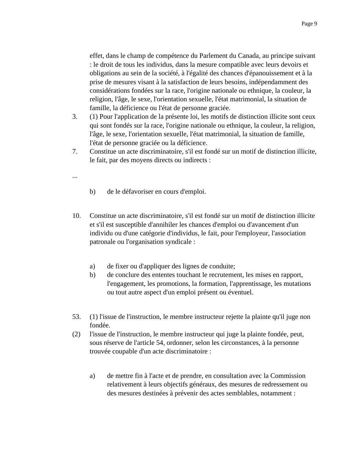effet, dans le champ de compétence du Parlement du Canada, au principe suivant : le droit de tous les individus, dans la mesure compatible avec leurs devoirs et obligations au sein de la société, à l'égalité des chances d'épanouissement et à la prise de mesures visant à la satisfaction de leurs besoins, indépendamment des considérations fondées sur la race, l'origine nationale ou ethnique, la couleur, la religion, l'âge, le sexe, l'orientation sexuelle, l'état matrimonial, la situation de famille, la déficience ou l'état de personne graciée.

- 3. (1) Pour l'application de la présente loi, les motifs de distinction illicite sont ceux qui sont fondés sur la race, l'origine nationale ou ethnique, la couleur, la religion, l'âge, le sexe, l'orientation sexuelle, l'état matrimonial, la situation de famille, l'état de personne graciée ou la déficience.
- 7. Constitue un acte discriminatoire, s'il est fondé sur un motif de distinction illicite, le fait, par des moyens directs ou indirects :
- ...
- b) de le défavoriser en cours d'emploi.
- 10. Constitue un acte discriminatoire, s'il est fondé sur un motif de distinction illicite et s'il est susceptible d'annihiler les chances d'emploi ou d'avancement d'un individu ou d'une catégorie d'individus, le fait, pour l'employeur, l'association patronale ou l'organisation syndicale :
	- a) de fixer ou d'appliquer des lignes de conduite;
	- b) de conclure des ententes touchant le recrutement, les mises en rapport, l'engagement, les promotions, la formation, l'apprentissage, les mutations ou tout autre aspect d'un emploi présent ou éventuel.
- 53. (1) l'issue de l'instruction, le membre instructeur rejette la plainte qu'il juge non fondée.
- (2) l'issue de l'instruction, le membre instructeur qui juge la plainte fondée, peut, sous réserve de l'article 54, ordonner, selon les circonstances, à la personne trouvée coupable d'un acte discriminatoire :
	- a) de mettre fin à l'acte et de prendre, en consultation avec la Commission relativement à leurs objectifs généraux, des mesures de redressement ou des mesures destinées à prévenir des actes semblables, notamment :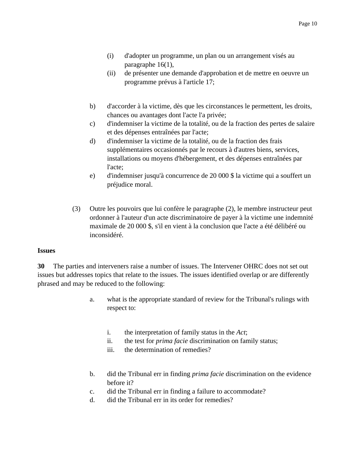- (i) d'adopter un programme, un plan ou un arrangement visés au paragraphe 16(1),
- (ii) de présenter une demande d'approbation et de mettre en oeuvre un programme prévus à l'article 17;
- b) d'accorder à la victime, dès que les circonstances le permettent, les droits, chances ou avantages dont l'acte l'a privée;
- c) d'indemniser la victime de la totalité, ou de la fraction des pertes de salaire et des dépenses entraînées par l'acte;
- d) d'indemniser la victime de la totalité, ou de la fraction des frais supplémentaires occasionnés par le recours à d'autres biens, services, installations ou moyens d'hébergement, et des dépenses entraînées par l'acte;
- e) d'indemniser jusqu'à concurrence de 20 000 \$ la victime qui a souffert un préjudice moral.
- (3) Outre les pouvoirs que lui confère le paragraphe (2), le membre instructeur peut ordonner à l'auteur d'un acte discriminatoire de payer à la victime une indemnité maximale de 20 000 \$, s'il en vient à la conclusion que l'acte a été délibéré ou inconsidéré.

#### **Issues**

**30** The parties and interveners raise a number of issues. The Intervener OHRC does not set out issues but addresses topics that relate to the issues. The issues identified overlap or are differently phrased and may be reduced to the following:

- a. what is the appropriate standard of review for the Tribunal's rulings with respect to:
	- i. the interpretation of family status in the *Act*;
	- ii. the test for *prima facie* discrimination on family status;
	- iii. the determination of remedies?
- b. did the Tribunal err in finding *prima facie* discrimination on the evidence before it?
- c. did the Tribunal err in finding a failure to accommodate?
- d. did the Tribunal err in its order for remedies?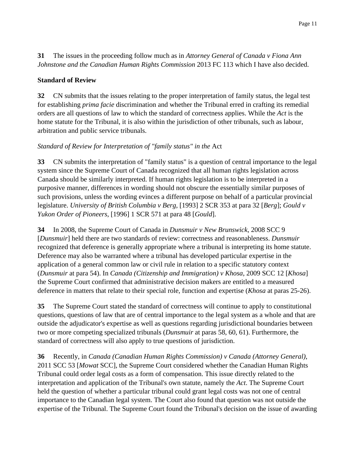**31** The issues in the proceeding follow much as in *Attorney General of Canada v Fiona Ann Johnstone and the Canadian Human Rights Commission* 2013 FC 113 which I have also decided.

#### **Standard of Review**

**32** CN submits that the issues relating to the proper interpretation of family status, the legal test for establishing *prima facie* discrimination and whether the Tribunal erred in crafting its remedial orders are all questions of law to which the standard of correctness applies. While the *Act* is the home statute for the Tribunal, it is also within the jurisdiction of other tribunals, such as labour, arbitration and public service tribunals.

## *Standard of Review for Interpretation of "family status" in the* Act

**33** CN submits the interpretation of "family status" is a question of central importance to the legal system since the Supreme Court of Canada recognized that all human rights legislation across Canada should be similarly interpreted. If human rights legislation is to be interpreted in a purposive manner, differences in wording should not obscure the essentially similar purposes of such provisions, unless the wording evinces a different purpose on behalf of a particular provincial legislature. *University of British Columbia v Berg*, [1993] 2 SCR 353 at para 32 [*Berg*]; *Gould v Yukon Order of Pioneers*, [1996] 1 SCR 571 at para 48 [*Gould*].

**34** In 2008, the Supreme Court of Canada in *Dunsmuir v New Brunswick*, 2008 SCC 9 [*Dunsmuir*] held there are two standards of review: correctness and reasonableness. *Dunsmuir* recognized that deference is generally appropriate where a tribunal is interpreting its home statute. Deference may also be warranted where a tribunal has developed particular expertise in the application of a general common law or civil rule in relation to a specific statutory context (*Dunsmuir* at para 54). In *Canada (Citizenship and Immigration) v Khosa*, 2009 SCC 12 [*Khosa*] the Supreme Court confirmed that administrative decision makers are entitled to a measured deference in matters that relate to their special role, function and expertise (*Khosa* at paras 25-26).

**35** The Supreme Court stated the standard of correctness will continue to apply to constitutional questions, questions of law that are of central importance to the legal system as a whole and that are outside the adjudicator's expertise as well as questions regarding jurisdictional boundaries between two or more competing specialized tribunals (*Dunsmuir* at paras 58, 60, 61). Furthermore, the standard of correctness will also apply to true questions of jurisdiction.

**36** Recently, in *Canada (Canadian Human Rights Commission) v Canada (Attorney General)*, 2011 SCC 53 [*Mowat* SCC], the Supreme Court considered whether the Canadian Human Rights Tribunal could order legal costs as a form of compensation. This issue directly related to the interpretation and application of the Tribunal's own statute, namely the *Act*. The Supreme Court held the question of whether a particular tribunal could grant legal costs was not one of central importance to the Canadian legal system. The Court also found that question was not outside the expertise of the Tribunal. The Supreme Court found the Tribunal's decision on the issue of awarding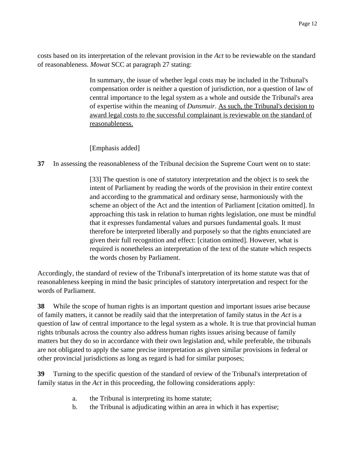costs based on its interpretation of the relevant provision in the *Act* to be reviewable on the standard of reasonableness. *Mowat* SCC at paragraph 27 stating:

> In summary, the issue of whether legal costs may be included in the Tribunal's compensation order is neither a question of jurisdiction, nor a question of law of central importance to the legal system as a whole and outside the Tribunal's area of expertise within the meaning of *Dunsmuir*. As such, the Tribunal's decision to award legal costs to the successful complainant is reviewable on the standard of reasonableness.

[Emphasis added]

**37** In assessing the reasonableness of the Tribunal decision the Supreme Court went on to state:

[33] The question is one of statutory interpretation and the object is to seek the intent of Parliament by reading the words of the provision in their entire context and according to the grammatical and ordinary sense, harmoniously with the scheme an object of the Act and the intention of Parliament [citation omitted]. In approaching this task in relation to human rights legislation, one must be mindful that it expresses fundamental values and pursues fundamental goals. It must therefore be interpreted liberally and purposely so that the rights enunciated are given their full recognition and effect: [citation omitted]. However, what is required is nonetheless an interpretation of the text of the statute which respects the words chosen by Parliament.

Accordingly, the standard of review of the Tribunal's interpretation of its home statute was that of reasonableness keeping in mind the basic principles of statutory interpretation and respect for the words of Parliament.

**38** While the scope of human rights is an important question and important issues arise because of family matters, it cannot be readily said that the interpretation of family status in the *Act* is a question of law of central importance to the legal system as a whole. It is true that provincial human rights tribunals across the country also address human rights issues arising because of family matters but they do so in accordance with their own legislation and, while preferable, the tribunals are not obligated to apply the same precise interpretation as given similar provisions in federal or other provincial jurisdictions as long as regard is had for similar purposes;

**39** Turning to the specific question of the standard of review of the Tribunal's interpretation of family status in the *Act* in this proceeding, the following considerations apply:

- a. the Tribunal is interpreting its home statute;
- b. the Tribunal is adjudicating within an area in which it has expertise;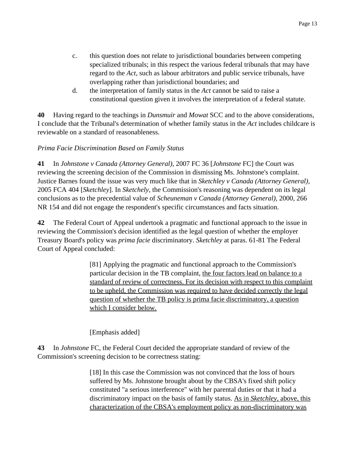- c. this question does not relate to jurisdictional boundaries between competing specialized tribunals; in this respect the various federal tribunals that may have regard to the *Act*, such as labour arbitrators and public service tribunals, have overlapping rather than jurisdictional boundaries; and
- d. the interpretation of family status in the *Act* cannot be said to raise a constitutional question given it involves the interpretation of a federal statute.

**40** Having regard to the teachings in *Dunsmuir* and *Mowat* SCC and to the above considerations, I conclude that the Tribunal's determination of whether family status in the *Act* includes childcare is reviewable on a standard of reasonableness.

## *Prima Facie Discrimination Based on Family Status*

**41** In *Johnstone v Canada (Attorney General)*, 2007 FC 36 [*Johnstone* FC] the Court was reviewing the screening decision of the Commission in dismissing Ms. Johnstone's complaint. Justice Barnes found the issue was very much like that in *Sketchley v Canada (Attorney General),* 2005 FCA 404 [*Sketchley*]. In *Sketchely*, the Commission's reasoning was dependent on its legal conclusions as to the precedential value of *Scheuneman v Canada (Attorney General)*, 2000, 266 NR 154 and did not engage the respondent's specific circumstances and facts situation.

**42** The Federal Court of Appeal undertook a pragmatic and functional approach to the issue in reviewing the Commission's decision identified as the legal question of whether the employer Treasury Board's policy was *prima facie* discriminatory. *Sketchley* at paras. 61-81 The Federal Court of Appeal concluded:

> [81] Applying the pragmatic and functional approach to the Commission's particular decision in the TB complaint, the four factors lead on balance to a standard of review of correctness. For its decision with respect to this complaint to be upheld, the Commission was required to have decided correctly the legal question of whether the TB policy is prima facie discriminatory, a question which I consider below.

[Emphasis added]

**43** In *Johnstone* FC, the Federal Court decided the appropriate standard of review of the Commission's screening decision to be correctness stating:

> [18] In this case the Commission was not convinced that the loss of hours suffered by Ms. Johnstone brought about by the CBSA's fixed shift policy constituted "a serious interference" with her parental duties or that it had a discriminatory impact on the basis of family status. As in *Sketchley*, above, this characterization of the CBSA's employment policy as non-discriminatory was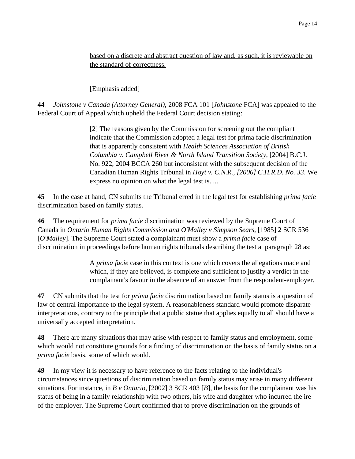based on a discrete and abstract question of law and, as such, it is reviewable on the standard of correctness.

[Emphasis added]

**44** *Johnstone v Canada (Attorney General)*, 2008 FCA 101 [*Johnstone* FCA] was appealed to the Federal Court of Appeal which upheld the Federal Court decision stating:

> [2] The reasons given by the Commission for screening out the compliant indicate that the Commission adopted a legal test for prima facie discrimination that is apparently consistent with *Health Sciences Association of British Columbia v. Campbell River & North Island Transition Society*, [2004] B.C.J. No. 922, 2004 BCCA 260 but inconsistent with the subsequent decision of the Canadian Human Rights Tribunal in *Hoyt v. C.N.R., [2006] C.H.R.D. No. 33*. We express no opinion on what the legal test is. ...

**45** In the case at hand, CN submits the Tribunal erred in the legal test for establishing *prima facie* discrimination based on family status.

**46** The requirement for *prima facie* discrimination was reviewed by the Supreme Court of Canada in *Ontario Human Rights Commission and O'Malley v Simpson Sears,* [1985] 2 SCR 536 [*O'Malley*]. The Supreme Court stated a complainant must show a *prima facie* case of discrimination in proceedings before human rights tribunals describing the test at paragraph 28 as:

> A *prima facie* case in this context is one which covers the allegations made and which, if they are believed, is complete and sufficient to justify a verdict in the complainant's favour in the absence of an answer from the respondent-employer.

**47** CN submits that the test for *prima facie* discrimination based on family status is a question of law of central importance to the legal system. A reasonableness standard would promote disparate interpretations, contrary to the principle that a public statue that applies equally to all should have a universally accepted interpretation.

**48** There are many situations that may arise with respect to family status and employment, some which would not constitute grounds for a finding of discrimination on the basis of family status on a *prima facie* basis, some of which would.

**49** In my view it is necessary to have reference to the facts relating to the individual's circumstances since questions of discrimination based on family status may arise in many different situations. For instance, in *B v Ontario*, [2002] 3 SCR 403 [*B*], the basis for the complainant was his status of being in a family relationship with two others, his wife and daughter who incurred the ire of the employer. The Supreme Court confirmed that to prove discrimination on the grounds of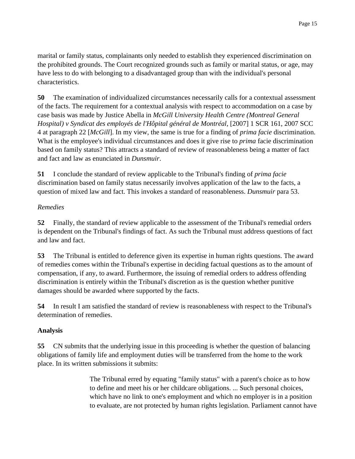marital or family status, complainants only needed to establish they experienced discrimination on the prohibited grounds. The Court recognized grounds such as family or marital status, or age, may have less to do with belonging to a disadvantaged group than with the individual's personal characteristics.

**50** The examination of individualized circumstances necessarily calls for a contextual assessment of the facts. The requirement for a contextual analysis with respect to accommodation on a case by case basis was made by Justice Abella in *McGill University Health Centre (Montreal General Hospital) v Syndicat des employés de l'Hôpital général de Montréal,* [2007] 1 SCR 161, 2007 SCC 4 at paragraph 22 [*McGill*]. In my view, the same is true for a finding of *prima facie* discrimination. What is the employee's individual circumstances and does it give rise to *prima* facie discrimination based on family status? This attracts a standard of review of reasonableness being a matter of fact and fact and law as enunciated in *Dunsmuir*.

**51** I conclude the standard of review applicable to the Tribunal's finding of *prima facie* discrimination based on family status necessarily involves application of the law to the facts, a question of mixed law and fact. This invokes a standard of reasonableness. *Dunsmuir* para 53.

### *Remedies*

**52** Finally, the standard of review applicable to the assessment of the Tribunal's remedial orders is dependent on the Tribunal's findings of fact. As such the Tribunal must address questions of fact and law and fact.

**53** The Tribunal is entitled to deference given its expertise in human rights questions. The award of remedies comes within the Tribunal's expertise in deciding factual questions as to the amount of compensation, if any, to award. Furthermore, the issuing of remedial orders to address offending discrimination is entirely within the Tribunal's discretion as is the question whether punitive damages should be awarded where supported by the facts.

**54** In result I am satisfied the standard of review is reasonableness with respect to the Tribunal's determination of remedies.

## **Analysis**

**55** CN submits that the underlying issue in this proceeding is whether the question of balancing obligations of family life and employment duties will be transferred from the home to the work place. In its written submissions it submits:

> The Tribunal erred by equating "family status" with a parent's choice as to how to define and meet his or her childcare obligations. ... Such personal choices, which have no link to one's employment and which no employer is in a position to evaluate, are not protected by human rights legislation. Parliament cannot have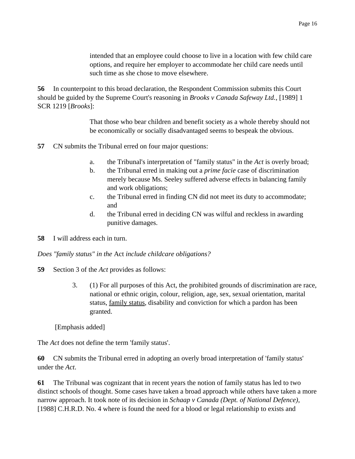intended that an employee could choose to live in a location with few child care options, and require her employer to accommodate her child care needs until such time as she chose to move elsewhere.

**56** In counterpoint to this broad declaration, the Respondent Commission submits this Court should be guided by the Supreme Court's reasoning in *Brooks v Canada Safeway Ltd.*, [1989] 1 SCR 1219 [*Brooks*]:

> That those who bear children and benefit society as a whole thereby should not be economically or socially disadvantaged seems to bespeak the obvious.

**57** CN submits the Tribunal erred on four major questions:

- a. the Tribunal's interpretation of "family status" in the *Act* is overly broad;
- b. the Tribunal erred in making out a *prime facie* case of discrimination merely because Ms. Seeley suffered adverse effects in balancing family and work obligations;
- c. the Tribunal erred in finding CN did not meet its duty to accommodate; and
- d. the Tribunal erred in deciding CN was wilful and reckless in awarding punitive damages.
- **58** I will address each in turn.

#### *Does "family status" in the* Act *include childcare obligations?*

- **59** Section 3 of the *Act* provides as follows:
	- 3. (1) For all purposes of this Act, the prohibited grounds of discrimination are race, national or ethnic origin, colour, religion, age, sex, sexual orientation, marital status, family status, disability and conviction for which a pardon has been granted.

[Emphasis added]

The *Act* does not define the term 'family status'.

**60** CN submits the Tribunal erred in adopting an overly broad interpretation of 'family status' under the *Act*.

**61** The Tribunal was cognizant that in recent years the notion of family status has led to two distinct schools of thought. Some cases have taken a broad approach while others have taken a more narrow approach. It took note of its decision in *Schaap v Canada (Dept. of National Defence)*, [1988] C.H.R.D. No. 4 where is found the need for a blood or legal relationship to exists and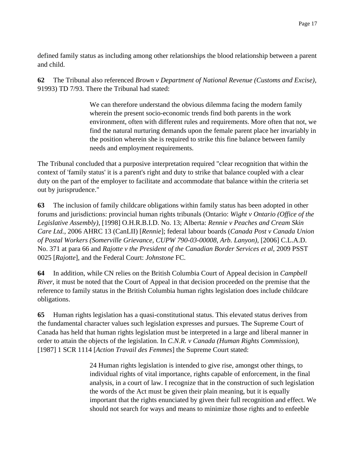defined family status as including among other relationships the blood relationship between a parent and child.

**62** The Tribunal also referenced *Brown v Department of National Revenue (Customs and Excise)*, 91993) TD 7/93. There the Tribunal had stated:

> We can therefore understand the obvious dilemma facing the modern family wherein the present socio-economic trends find both parents in the work environment, often with different rules and requirements. More often that not, we find the natural nurturing demands upon the female parent place her invariably in the position wherein she is required to strike this fine balance between family needs and employment requirements.

The Tribunal concluded that a purposive interpretation required "clear recognition that within the context of 'family status' it is a parent's right and duty to strike that balance coupled with a clear duty on the part of the employer to facilitate and accommodate that balance within the criteria set out by jurisprudence."

**63** The inclusion of family childcare obligations within family status has been adopted in other forums and jurisdictions: provincial human rights tribunals (Ontario: *Wight v Ontario (Office of the Legislative Assembly)*, [1998] O.H.R.B.I.D. No. 13; Alberta: *Rennie v Peaches and Cream Skin Care Ltd.*, 2006 AHRC 13 (CanLII) [*Rennie*]; federal labour boards (*Canada Post v Canada Union of Postal Workers (Somerville Grievance, CUPW 790-03-00008, Arb. Lanyon)*, [2006] C.L.A.D. No. 371 at para 66 and *Rajotte v the President of the Canadian Border Services et al*, 2009 PSST 0025 [*Rajotte*], and the Federal Court: *Johnstone* FC.

**64** In addition, while CN relies on the British Columbia Court of Appeal decision in *Campbell River*, it must be noted that the Court of Appeal in that decision proceeded on the premise that the reference to family status in the British Columbia human rights legislation does include childcare obligations.

**65** Human rights legislation has a quasi-constitutional status. This elevated status derives from the fundamental character values such legislation expresses and pursues. The Supreme Court of Canada has held that human rights legislation must be interpreted in a large and liberal manner in order to attain the objects of the legislation. In *C.N.R. v Canada (Human Rights Commission)*, [1987] 1 SCR 1114 [*Action Travail des Femmes*] the Supreme Court stated:

> 24 Human rights legislation is intended to give rise, amongst other things, to individual rights of vital importance, rights capable of enforcement, in the final analysis, in a court of law. I recognize that in the construction of such legislation the words of the Act must be given their plain meaning, but it is equally important that the rights enunciated by given their full recognition and effect. We should not search for ways and means to minimize those rights and to enfeeble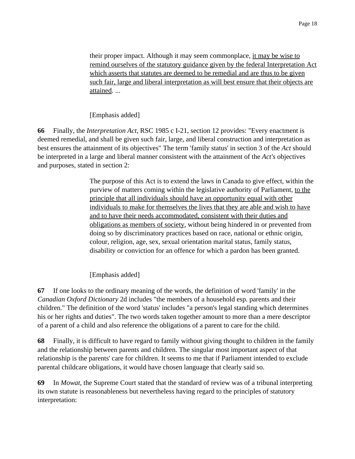their proper impact. Although it may seem commonplace, it may be wise to remind ourselves of the statutory guidance given by the federal Interpretation Act which asserts that statutes are deemed to be remedial and are thus to be given such fair, large and liberal interpretation as will best ensure that their objects are attained. ...

[Emphasis added]

**66** Finally, the *Interpretation Act*, RSC 1985 c I-21, section 12 provides: "Every enactment is deemed remedial, and shall be given such fair, large, and liberal construction and interpretation as best ensures the attainment of its objectives" The term 'family status' in section 3 of the *Act* should be interpreted in a large and liberal manner consistent with the attainment of the *Act's* objectives and purposes, stated in section 2:

> The purpose of this Act is to extend the laws in Canada to give effect, within the purview of matters coming within the legislative authority of Parliament, to the principle that all individuals should have an opportunity equal with other individuals to make for themselves the lives that they are able and wish to have and to have their needs accommodated, consistent with their duties and obligations as members of society, without being hindered in or prevented from doing so by discriminatory practices based on race, national or ethnic origin, colour, religion, age, sex, sexual orientation marital status, family status, disability or conviction for an offence for which a pardon has been granted.

[Emphasis added]

**67** If one looks to the ordinary meaning of the words, the definition of word 'family' in the *Canadian Oxford Dictionary* 2d includes "the members of a household esp. parents and their children." The definition of the word 'status' includes "a person's legal standing which determines his or her rights and duties". The two words taken together amount to more than a mere descriptor of a parent of a child and also reference the obligations of a parent to care for the child.

**68** Finally, it is difficult to have regard to family without giving thought to children in the family and the relationship between parents and children. The singular most important aspect of that relationship is the parents' care for children. It seems to me that if Parliament intended to exclude parental childcare obligations, it would have chosen language that clearly said so.

**69** In *Mowat*, the Supreme Court stated that the standard of review was of a tribunal interpreting its own statute is reasonableness but nevertheless having regard to the principles of statutory interpretation: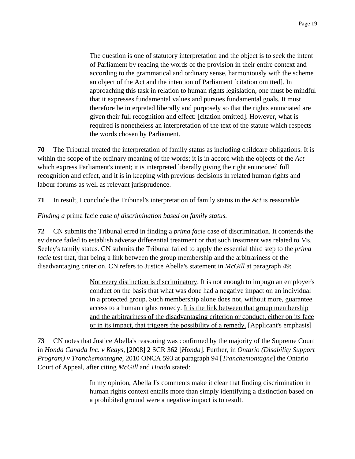The question is one of statutory interpretation and the object is to seek the intent of Parliament by reading the words of the provision in their entire context and according to the grammatical and ordinary sense, harmoniously with the scheme an object of the Act and the intention of Parliament [citation omitted]. In approaching this task in relation to human rights legislation, one must be mindful that it expresses fundamental values and pursues fundamental goals. It must therefore be interpreted liberally and purposely so that the rights enunciated are given their full recognition and effect: [citation omitted]. However, what is required is nonetheless an interpretation of the text of the statute which respects the words chosen by Parliament.

**70** The Tribunal treated the interpretation of family status as including childcare obligations. It is within the scope of the ordinary meaning of the words; it is in accord with the objects of the *Act* which express Parliament's intent; it is interpreted liberally giving the right enunciated full recognition and effect, and it is in keeping with previous decisions in related human rights and labour forums as well as relevant jurisprudence.

**71** In result, I conclude the Tribunal's interpretation of family status in the *Act* is reasonable.

#### *Finding a* prima facie *case of discrimination based on family status.*

**72** CN submits the Tribunal erred in finding a *prima facie* case of discrimination. It contends the evidence failed to establish adverse differential treatment or that such treatment was related to Ms. Seeley's family status. CN submits the Tribunal failed to apply the essential third step to the *prima facie* test that, that being a link between the group membership and the arbitrariness of the disadvantaging criterion. CN refers to Justice Abella's statement in *McGill* at paragraph 49:

> Not every distinction is discriminatory. It is not enough to impugn an employer's conduct on the basis that what was done had a negative impact on an individual in a protected group. Such membership alone does not, without more, guarantee access to a human rights remedy. It is the link between that group membership and the arbitrariness of the disadvantaging criterion or conduct, either on its face or in its impact, that triggers the possibility of a remedy. [Applicant's emphasis]

**73** CN notes that Justice Abella's reasoning was confirmed by the majority of the Supreme Court in *Honda Canada Inc. v Keays*, [2008] 2 SCR 362 [*Honda*]. Further, in *Ontario (Disability Support Program) v Tranchemontagne*, 2010 ONCA 593 at paragraph 94 [*Tranchemontagne*] the Ontario Court of Appeal, after citing *McGill* and *Honda* stated:

> In my opinion, Abella J's comments make it clear that finding discrimination in human rights context entails more than simply identifying a distinction based on a prohibited ground were a negative impact is to result.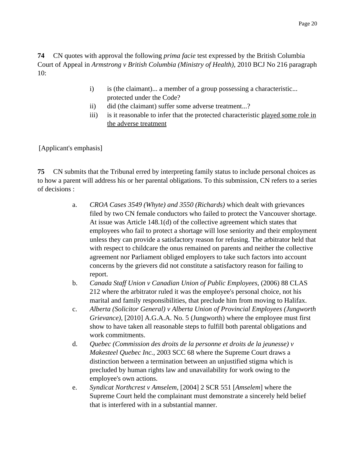**74** CN quotes with approval the following *prima facie* test expressed by the British Columbia Court of Appeal in *Armstrong v British Columbia (Ministry of Health)*, 2010 BCJ No 216 paragraph 10:

- i) is (the claimant)... a member of a group possessing a characteristic... protected under the Code?
- ii) did (the claimant) suffer some adverse treatment...?
- iii) is it reasonable to infer that the protected characteristic played some role in the adverse treatment

[Applicant's emphasis]

**75** CN submits that the Tribunal erred by interpreting family status to include personal choices as to how a parent will address his or her parental obligations. To this submission, CN refers to a series of decisions :

- a. *CROA Cases 3549 (Whyte) and 3550 (Richards)* which dealt with grievances filed by two CN female conductors who failed to protect the Vancouver shortage. At issue was Article 148.1(d) of the collective agreement which states that employees who fail to protect a shortage will lose seniority and their employment unless they can provide a satisfactory reason for refusing. The arbitrator held that with respect to childcare the onus remained on parents and neither the collective agreement nor Parliament obliged employers to take such factors into account concerns by the grievers did not constitute a satisfactory reason for failing to report.
- b. *Canada Staff Union v Canadian Union of Public Employees*, (2006) 88 CLAS 212 where the arbitrator ruled it was the employee's personal choice, not his marital and family responsibilities, that preclude him from moving to Halifax.
- c. *Alberta (Solicitor General) v Alberta Union of Provincial Employees (Jungworth Grievance)*, [2010] A.G.A.A. No. 5 (Jungworth) where the employee must first show to have taken all reasonable steps to fulfill both parental obligations and work commitments.
- d. *Quebec (Commission des droits de la personne et droits de la jeunesse) v Makesteel Quebec Inc.*, 2003 SCC 68 where the Supreme Court draws a distinction between a termination between an unjustified stigma which is precluded by human rights law and unavailability for work owing to the employee's own actions.
- e. *Syndicat Northcrest v Amselem*, [2004] 2 SCR 551 [*Amselem*] where the Supreme Court held the complainant must demonstrate a sincerely held belief that is interfered with in a substantial manner.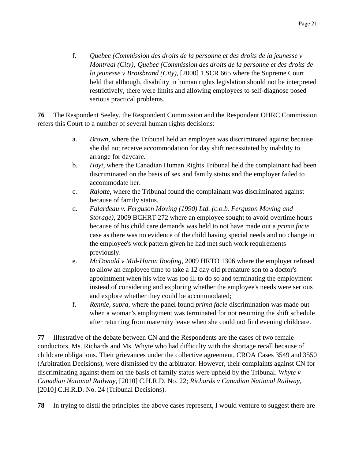f. *Quebec (Commission des droits de la personne et des droits de la jeunesse v Montreal (City); Quebec (Commission des droits de la personne et des droits de la jeunesse v Broisbrand (City)*, [2000] 1 SCR 665 where the Supreme Court held that although, disability in human rights legislation should not be interpreted restrictively, there were limits and allowing employees to self-diagnose posed serious practical problems.

**76** The Respondent Seeley, the Respondent Commission and the Respondent OHRC Commission refers this Court to a number of several human rights decisions:

- a. *Brown,* where the Tribunal held an employee was discriminated against because she did not receive accommodation for day shift necessitated by inability to arrange for daycare.
- b. *Hoyt,* where the Canadian Human Rights Tribunal held the complainant had been discriminated on the basis of sex and family status and the employer failed to accommodate her.
- c. *Rajotte*, where the Tribunal found the complainant was discriminated against because of family status.
- d. *Falardeau v. Ferguson Moving (1990) Ltd. (c.o.b. Ferguson Moving and Storage)*, 2009 BCHRT 272 where an employee sought to avoid overtime hours because of his child care demands was held to not have made out a *prima facie* case as there was no evidence of the child having special needs and no change in the employee's work pattern given he had met such work requirements previously.
- e. *McDonald v Mid-Huron Roofing*, 2009 HRTO 1306 where the employer refused to allow an employee time to take a 12 day old premature son to a doctor's appointment when his wife was too ill to do so and terminating the employment instead of considering and exploring whether the employee's needs were serious and explore whether they could be accommodated;
- f. *Rennie, supra,* where the panel found *prima facie* discrimination was made out when a woman's employment was terminated for not resuming the shift schedule after returning from maternity leave when she could not find evening childcare.

**77** Illustrative of the debate between CN and the Respondents are the cases of two female conductors, Ms. Richards and Ms. Whyte who had difficulty with the shortage recall because of childcare obligations. Their grievances under the collective agreement, CROA Cases 3549 and 3550 (Arbitration Decisions), were dismissed by the arbitrator. However, their complaints against CN for discriminating against them on the basis of family status were upheld by the Tribunal. *Whyte v Canadian National Railway*, [2010] C.H.R.D. No. 22; *Richards v Canadian National Railway*, [2010] C.H.R.D. No. 24 (Tribunal Decisions).

**78** In trying to distil the principles the above cases represent, I would venture to suggest there are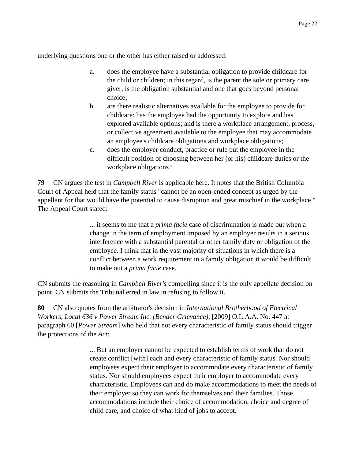underlying questions one or the other has either raised or addressed:

- a. does the employee have a substantial obligation to provide childcare for the child or children; in this regard, is the parent the sole or primary care giver, is the obligation substantial and one that goes beyond personal choice;
- b. are there realistic alternatives available for the employee to provide for childcare: has the employee had the opportunity to explore and has explored available options; and is there a workplace arrangement, process, or collective agreement available to the employee that may accommodate an employee's childcare obligations and workplace obligations;
- c. does the employer conduct, practice or rule put the employee in the difficult position of choosing between her (or his) childcare duties or the workplace obligations?

**79** CN argues the test in *Campbell River* is applicable here. It notes that the British Columbia Court of Appeal held that the family status "cannot be an open-ended concept as urged by the appellant for that would have the potential to cause disruption and great mischief in the workplace." The Appeal Court stated:

> ... it seems to me that a *prima facie* case of discrimination is made out when a change in the term of employment imposed by an employer results in a serious interference with a substantial parental or other family duty or obligation of the employee. I think that in the vast majority of situations in which there is a conflict between a work requirement in a family obligation it would be difficult to make out a *prima facie* case.

CN submits the reasoning in *Campbell River's* compelling since it is the only appellate decision on point. CN submits the Tribunal erred in law in refusing to follow it.

**80** CN also quotes from the arbitrator's decision in *International Brotherhood of Electrical Workers, Local 636 v Power Stream Inc. (Bender Grievance)*, [2009] O.L.A.A. No. 447 at paragraph 60 [*Power Stream*] who held that not every characteristic of family status should trigger the protections of the *Act*:

> ... But an employer cannot be expected to establish terms of work that do not create conflict [with] each and every characteristic of family status. Nor should employees expect their employer to accommodate every characteristic of family status. Nor should employees expect their employer to accommodate every characteristic. Employees can and do make accommodations to meet the needs of their employer so they can work for themselves and their families. Those accommodations include their choice of accommodation, choice and degree of child care, and choice of what kind of jobs to accept.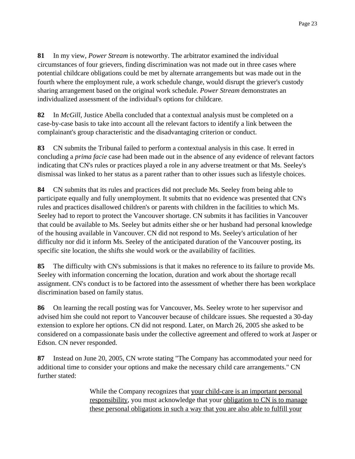**81** In my view, *Power Stream* is noteworthy. The arbitrator examined the individual circumstances of four grievers, finding discrimination was not made out in three cases where potential childcare obligations could be met by alternate arrangements but was made out in the fourth where the employment rule, a work schedule change, would disrupt the griever's custody sharing arrangement based on the original work schedule. *Power Stream* demonstrates an individualized assessment of the individual's options for childcare.

**82** In *McGill*, Justice Abella concluded that a contextual analysis must be completed on a case-by-case basis to take into account all the relevant factors to identify a link between the complainant's group characteristic and the disadvantaging criterion or conduct.

**83** CN submits the Tribunal failed to perform a contextual analysis in this case. It erred in concluding a *prima facie* case had been made out in the absence of any evidence of relevant factors indicating that CN's rules or practices played a role in any adverse treatment or that Ms. Seeley's dismissal was linked to her status as a parent rather than to other issues such as lifestyle choices.

**84** CN submits that its rules and practices did not preclude Ms. Seeley from being able to participate equally and fully unemployment. It submits that no evidence was presented that CN's rules and practices disallowed children's or parents with children in the facilities to which Ms. Seeley had to report to protect the Vancouver shortage. CN submits it has facilities in Vancouver that could be available to Ms. Seeley but admits either she or her husband had personal knowledge of the housing available in Vancouver. CN did not respond to Ms. Seeley's articulation of her difficulty nor did it inform Ms. Seeley of the anticipated duration of the Vancouver posting, its specific site location, the shifts she would work or the availability of facilities.

**85** The difficulty with CN's submissions is that it makes no reference to its failure to provide Ms. Seeley with information concerning the location, duration and work about the shortage recall assignment. CN's conduct is to be factored into the assessment of whether there has been workplace discrimination based on family status.

**86** On learning the recall posting was for Vancouver, Ms. Seeley wrote to her supervisor and advised him she could not report to Vancouver because of childcare issues. She requested a 30-day extension to explore her options. CN did not respond. Later, on March 26, 2005 she asked to be considered on a compassionate basis under the collective agreement and offered to work at Jasper or Edson. CN never responded.

**87** Instead on June 20, 2005, CN wrote stating "The Company has accommodated your need for additional time to consider your options and make the necessary child care arrangements." CN further stated:

> While the Company recognizes that your child-care is an important personal responsibility, you must acknowledge that your obligation to CN is to manage these personal obligations in such a way that you are also able to fulfill your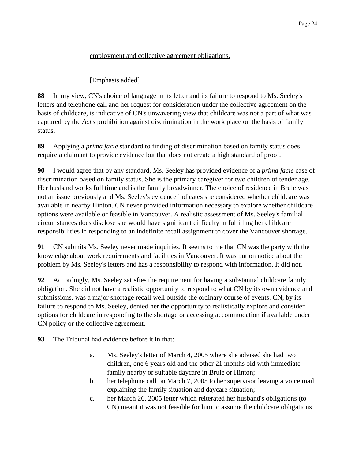#### employment and collective agreement obligations.

### [Emphasis added]

**88** In my view, CN's choice of language in its letter and its failure to respond to Ms. Seeley's letters and telephone call and her request for consideration under the collective agreement on the basis of childcare, is indicative of CN's unwavering view that childcare was not a part of what was captured by the *Act*'s prohibition against discrimination in the work place on the basis of family status.

**89** Applying a *prima facie* standard to finding of discrimination based on family status does require a claimant to provide evidence but that does not create a high standard of proof.

**90** I would agree that by any standard, Ms. Seeley has provided evidence of a *prima facie* case of discrimination based on family status. She is the primary caregiver for two children of tender age. Her husband works full time and is the family breadwinner. The choice of residence in Brule was not an issue previously and Ms. Seeley's evidence indicates she considered whether childcare was available in nearby Hinton. CN never provided information necessary to explore whether childcare options were available or feasible in Vancouver. A realistic assessment of Ms. Seeley's familial circumstances does disclose she would have significant difficulty in fulfilling her childcare responsibilities in responding to an indefinite recall assignment to cover the Vancouver shortage.

**91** CN submits Ms. Seeley never made inquiries. It seems to me that CN was the party with the knowledge about work requirements and facilities in Vancouver. It was put on notice about the problem by Ms. Seeley's letters and has a responsibility to respond with information. It did not.

**92** Accordingly, Ms. Seeley satisfies the requirement for having a substantial childcare family obligation. She did not have a realistic opportunity to respond to what CN by its own evidence and submissions, was a major shortage recall well outside the ordinary course of events. CN, by its failure to respond to Ms. Seeley, denied her the opportunity to realistically explore and consider options for childcare in responding to the shortage or accessing accommodation if available under CN policy or the collective agreement.

**93** The Tribunal had evidence before it in that:

- a. Ms. Seeley's letter of March 4, 2005 where she advised she had two children, one 6 years old and the other 21 months old with immediate family nearby or suitable daycare in Brule or Hinton;
- b. her telephone call on March 7, 2005 to her supervisor leaving a voice mail explaining the family situation and daycare situation;
- c. her March 26, 2005 letter which reiterated her husband's obligations (to CN) meant it was not feasible for him to assume the childcare obligations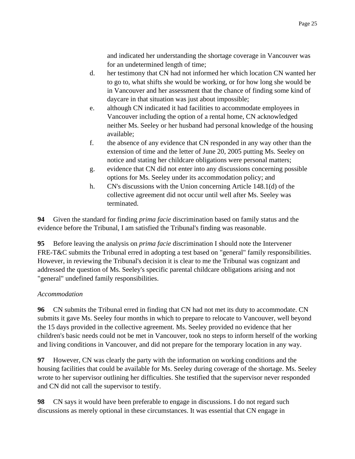and indicated her understanding the shortage coverage in Vancouver was for an undetermined length of time;

- d. her testimony that CN had not informed her which location CN wanted her to go to, what shifts she would be working, or for how long she would be in Vancouver and her assessment that the chance of finding some kind of daycare in that situation was just about impossible;
- e. although CN indicated it had facilities to accommodate employees in Vancouver including the option of a rental home, CN acknowledged neither Ms. Seeley or her husband had personal knowledge of the housing available;
- f. the absence of any evidence that CN responded in any way other than the extension of time and the letter of June 20, 2005 putting Ms. Seeley on notice and stating her childcare obligations were personal matters;
- g. evidence that CN did not enter into any discussions concerning possible options for Ms. Seeley under its accommodation policy; and
- h. CN's discussions with the Union concerning Article 148.1(d) of the collective agreement did not occur until well after Ms. Seeley was terminated.

**94** Given the standard for finding *prima facie* discrimination based on family status and the evidence before the Tribunal, I am satisfied the Tribunal's finding was reasonable.

**95** Before leaving the analysis on *prima facie* discrimination I should note the Intervener FRE-T&C submits the Tribunal erred in adopting a test based on "general" family responsibilities. However, in reviewing the Tribunal's decision it is clear to me the Tribunal was cognizant and addressed the question of Ms. Seeley's specific parental childcare obligations arising and not "general" undefined family responsibilities.

## *Accommodation*

**96** CN submits the Tribunal erred in finding that CN had not met its duty to accommodate. CN submits it gave Ms. Seeley four months in which to prepare to relocate to Vancouver, well beyond the 15 days provided in the collective agreement. Ms. Seeley provided no evidence that her children's basic needs could not be met in Vancouver, took no steps to inform herself of the working and living conditions in Vancouver, and did not prepare for the temporary location in any way.

**97** However, CN was clearly the party with the information on working conditions and the housing facilities that could be available for Ms. Seeley during coverage of the shortage. Ms. Seeley wrote to her supervisor outlining her difficulties. She testified that the supervisor never responded and CN did not call the supervisor to testify.

**98** CN says it would have been preferable to engage in discussions. I do not regard such discussions as merely optional in these circumstances. It was essential that CN engage in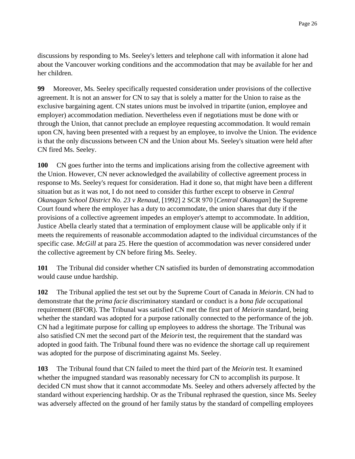discussions by responding to Ms. Seeley's letters and telephone call with information it alone had about the Vancouver working conditions and the accommodation that may be available for her and her children.

**99** Moreover, Ms. Seeley specifically requested consideration under provisions of the collective agreement. It is not an answer for CN to say that is solely a matter for the Union to raise as the exclusive bargaining agent. CN states unions must be involved in tripartite (union, employee and employer) accommodation mediation. Nevertheless even if negotiations must be done with or through the Union, that cannot preclude an employee requesting accommodation. It would remain upon CN, having been presented with a request by an employee, to involve the Union. The evidence is that the only discussions between CN and the Union about Ms. Seeley's situation were held after CN fired Ms. Seeley.

**100** CN goes further into the terms and implications arising from the collective agreement with the Union. However, CN never acknowledged the availability of collective agreement process in response to Ms. Seeley's request for consideration. Had it done so, that might have been a different situation but as it was not, I do not need to consider this further except to observe in *Central Okanagan School District No. 23 v Renaud*, [1992] 2 SCR 970 [*Central Okanagan*] the Supreme Court found where the employer has a duty to accommodate, the union shares that duty if the provisions of a collective agreement impedes an employer's attempt to accommodate. In addition, Justice Abella clearly stated that a termination of employment clause will be applicable only if it meets the requirements of reasonable accommodation adapted to the individual circumstances of the specific case. *McGill* at para 25. Here the question of accommodation was never considered under the collective agreement by CN before firing Ms. Seeley.

**101** The Tribunal did consider whether CN satisfied its burden of demonstrating accommodation would cause undue hardship.

**102** The Tribunal applied the test set out by the Supreme Court of Canada in *Meiorin*. CN had to demonstrate that the *prima facie* discriminatory standard or conduct is a *bona fide* occupational requirement (BFOR). The Tribunal was satisfied CN met the first part of *Meiorin* standard, being whether the standard was adopted for a purpose rationally connected to the performance of the job. CN had a legitimate purpose for calling up employees to address the shortage. The Tribunal was also satisfied CN met the second part of the *Meiorin* test, the requirement that the standard was adopted in good faith. The Tribunal found there was no evidence the shortage call up requirement was adopted for the purpose of discriminating against Ms. Seeley.

**103** The Tribunal found that CN failed to meet the third part of the *Meiorin* test. It examined whether the impugned standard was reasonably necessary for CN to accomplish its purpose. It decided CN must show that it cannot accommodate Ms. Seeley and others adversely affected by the standard without experiencing hardship. Or as the Tribunal rephrased the question, since Ms. Seeley was adversely affected on the ground of her family status by the standard of compelling employees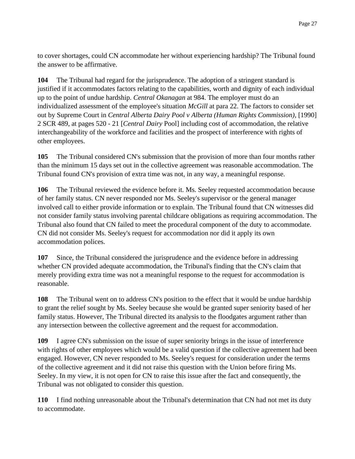to cover shortages, could CN accommodate her without experiencing hardship? The Tribunal found the answer to be affirmative.

**104** The Tribunal had regard for the jurisprudence. The adoption of a stringent standard is justified if it accommodates factors relating to the capabilities, worth and dignity of each individual up to the point of undue hardship. *Central Okanagan* at 984. The employer must do an individualized assessment of the employee's situation *McGill* at para 22. The factors to consider set out by Supreme Court in *Central Alberta Dairy Pool v Alberta (Human Rights Commission)*, [1990] 2 SCR 489, at pages 520 - 21 [*Central Dairy* Pool] including cost of accommodation, the relative interchangeability of the workforce and facilities and the prospect of interference with rights of other employees.

**105** The Tribunal considered CN's submission that the provision of more than four months rather than the minimum 15 days set out in the collective agreement was reasonable accommodation. The Tribunal found CN's provision of extra time was not, in any way, a meaningful response.

**106** The Tribunal reviewed the evidence before it. Ms. Seeley requested accommodation because of her family status. CN never responded nor Ms. Seeley's supervisor or the general manager involved call to either provide information or to explain. The Tribunal found that CN witnesses did not consider family status involving parental childcare obligations as requiring accommodation. The Tribunal also found that CN failed to meet the procedural component of the duty to accommodate. CN did not consider Ms. Seeley's request for accommodation nor did it apply its own accommodation polices.

**107** Since, the Tribunal considered the jurisprudence and the evidence before in addressing whether CN provided adequate accommodation, the Tribunal's finding that the CN's claim that merely providing extra time was not a meaningful response to the request for accommodation is reasonable.

**108** The Tribunal went on to address CN's position to the effect that it would be undue hardship to grant the relief sought by Ms. Seeley because she would be granted super seniority based of her family status. However, The Tribunal directed its analysis to the floodgates argument rather than any intersection between the collective agreement and the request for accommodation.

**109** I agree CN's submission on the issue of super seniority brings in the issue of interference with rights of other employees which would be a valid question if the collective agreement had been engaged. However, CN never responded to Ms. Seeley's request for consideration under the terms of the collective agreement and it did not raise this question with the Union before firing Ms. Seeley. In my view, it is not open for CN to raise this issue after the fact and consequently, the Tribunal was not obligated to consider this question.

**110** I find nothing unreasonable about the Tribunal's determination that CN had not met its duty to accommodate.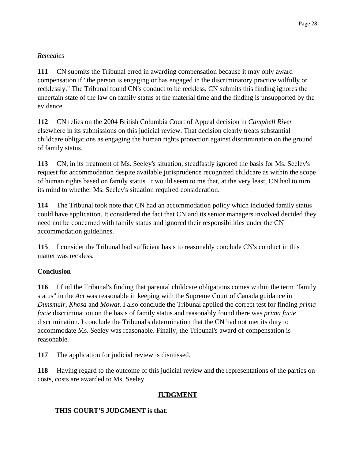## *Remedies*

**111** CN submits the Tribunal erred in awarding compensation because it may only award compensation if "the person is engaging or has engaged in the discriminatory practice wilfully or recklessly." The Tribunal found CN's conduct to be reckless. CN submits this finding ignores the uncertain state of the law on family status at the material time and the finding is unsupported by the evidence.

**112** CN relies on the 2004 British Columbia Court of Appeal decision in *Campbell River* elsewhere in its submissions on this judicial review. That decision clearly treats substantial childcare obligations as engaging the human rights protection against discrimination on the ground of family status.

**113** CN, in its treatment of Ms. Seeley's situation, steadfastly ignored the basis for Ms. Seeley's request for accommodation despite available jurisprudence recognized childcare as within the scope of human rights based on family status. It would seem to me that, at the very least, CN had to turn its mind to whether Ms. Seeley's situation required consideration.

**114** The Tribunal took note that CN had an accommodation policy which included family status could have application. It considered the fact that CN and its senior managers involved decided they need not be concerned with family status and ignored their responsibilities under the CN accommodation guidelines.

**115** I consider the Tribunal had sufficient basis to reasonably conclude CN's conduct in this matter was reckless.

## **Conclusion**

**116** I find the Tribunal's finding that parental childcare obligations comes within the term "family status" in the *Act* was reasonable in keeping with the Supreme Court of Canada guidance in *Dunsmuir*, *Khosa* and *Mowat*. I also conclude the Tribunal applied the correct test for finding *prima facie* discrimination on the basis of family status and reasonably found there was *prima facie* discrimination. I conclude the Tribunal's determination that the CN had not met its duty to accommodate Ms. Seeley was reasonable. Finally, the Tribunal's award of compensation is reasonable.

**117** The application for judicial review is dismissed.

**118** Having regard to the outcome of this judicial review and the representations of the parties on costs, costs are awarded to Ms. Seeley.

# **JUDGMENT**

# **THIS COURT'S JUDGMENT is that**: